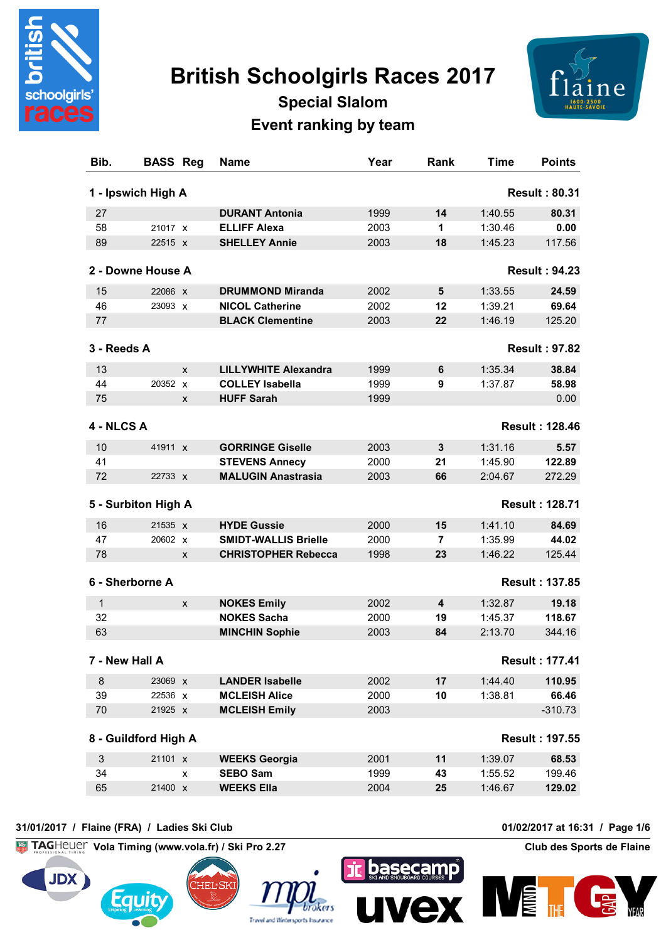

# **British Schoolgirls Races 2017**



## **Special Slalom Event ranking by team**

| Bib.         | <b>BASS Reg</b>      | <b>Name</b>                 | Year | Rank | <b>Time</b> | <b>Points</b>         |
|--------------|----------------------|-----------------------------|------|------|-------------|-----------------------|
|              | 1 - Ipswich High A   |                             |      |      |             | <b>Result: 80.31</b>  |
| 27           |                      | <b>DURANT Antonia</b>       | 1999 | 14   | 1:40.55     | 80.31                 |
| 58           | 21017 x              | <b>ELLIFF Alexa</b>         | 2003 | 1    | 1:30.46     | 0.00                  |
| 89           | 22515 x              | <b>SHELLEY Annie</b>        | 2003 | 18   | 1:45.23     | 117.56                |
|              | 2 - Downe House A    |                             |      |      |             | <b>Result: 94.23</b>  |
| 15           | 22086 x              | <b>DRUMMOND Miranda</b>     | 2002 | 5    | 1:33.55     | 24.59                 |
| 46           | 23093 X              | <b>NICOL Catherine</b>      | 2002 | 12   | 1:39.21     | 69.64                 |
| 77           |                      | <b>BLACK Clementine</b>     | 2003 | 22   | 1:46.19     | 125.20                |
| 3 - Reeds A  |                      |                             |      |      |             | <b>Result: 97.82</b>  |
| 13           | X                    | <b>LILLYWHITE Alexandra</b> | 1999 | 6    | 1:35.34     | 38.84                 |
| 44           | 20352 x              | <b>COLLEY Isabella</b>      | 1999 | 9    | 1:37.87     | 58.98                 |
| 75           | X                    | <b>HUFF Sarah</b>           | 1999 |      |             | 0.00                  |
| 4 - NLCS A   |                      |                             |      |      |             | <b>Result: 128.46</b> |
| 10           | 41911 x              | <b>GORRINGE Giselle</b>     | 2003 | 3    | 1:31.16     | 5.57                  |
| 41           |                      | <b>STEVENS Annecy</b>       | 2000 | 21   | 1:45.90     | 122.89                |
| 72           | 22733 X              | <b>MALUGIN Anastrasia</b>   | 2003 | 66   | 2:04.67     | 272.29                |
|              | 5 - Surbiton High A  |                             |      |      |             | <b>Result: 128.71</b> |
| 16           | 21535 x              | <b>HYDE Gussie</b>          | 2000 | 15   | 1:41.10     | 84.69                 |
| 47           | 20602 X              | <b>SMIDT-WALLIS Brielle</b> | 2000 | 7    | 1:35.99     | 44.02                 |
| 78           | X                    | <b>CHRISTOPHER Rebecca</b>  | 1998 | 23   | 1:46.22     | 125.44                |
|              |                      |                             |      |      |             |                       |
|              | 6 - Sherborne A      |                             |      |      |             | <b>Result: 137.85</b> |
| $\mathbf{1}$ | X                    | <b>NOKES Emily</b>          | 2002 | 4    | 1:32.87     | 19.18                 |
| 32           |                      | <b>NOKES Sacha</b>          | 2000 | 19   | 1:45.37     | 118.67                |
| 63           |                      | <b>MINCHIN Sophie</b>       | 2003 | 84   | 2:13.70     | 344.16                |
|              | 7 - New Hall A       |                             |      |      |             | <b>Result: 177.41</b> |
| $\bf 8$      | 23069 x              | <b>LANDER Isabelle</b>      | 2002 | 17   | 1:44.40     | 110.95                |
| 39           | 22536 x              | <b>MCLEISH Alice</b>        | 2000 | 10   | 1:38.81     | 66.46                 |
| $70\,$       | 21925 x              | <b>MCLEISH Emily</b>        | 2003 |      |             | $-310.73$             |
|              | 8 - Guildford High A |                             |      |      |             | <b>Result: 197.55</b> |
| $\sqrt{3}$   | 21101 X              | <b>WEEKS Georgia</b>        | 2001 | 11   | 1:39.07     | 68.53                 |
| 34           | x                    | <b>SEBO Sam</b>             | 1999 | 43   | 1:55.52     | 199.46                |
| 65           | 21400 X              | <b>WEEKS Ella</b>           | 2004 | 25   | 1:46.67     | 129.02                |
|              |                      |                             |      |      |             |                       |

#### **31/01/2017 / Flaine (FRA) / Ladies Ski Club 01/02/2017 at 16:31 / Page 1/6**

**Vola Timing (www.vola.fr) / Ski Pro 2.27 Club des Sports de Flaine**









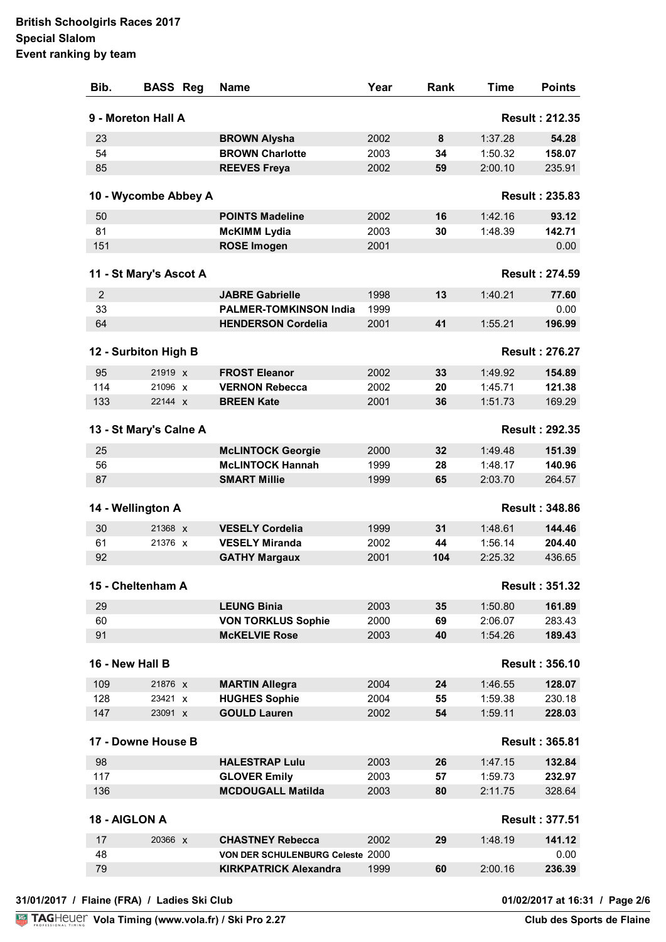| Bib.          | <b>BASS Reg</b>        | Name                             | Year | Rank | <b>Time</b> | <b>Points</b>         |
|---------------|------------------------|----------------------------------|------|------|-------------|-----------------------|
|               | 9 - Moreton Hall A     |                                  |      |      |             | <b>Result: 212.35</b> |
| 23            |                        | <b>BROWN Alysha</b>              | 2002 | 8    | 1:37.28     | 54.28                 |
| 54            |                        | <b>BROWN Charlotte</b>           | 2003 | 34   | 1:50.32     | 158.07                |
| 85            |                        | <b>REEVES Freya</b>              | 2002 | 59   | 2:00.10     | 235.91                |
|               | 10 - Wycombe Abbey A   |                                  |      |      |             | <b>Result: 235.83</b> |
| 50            |                        | <b>POINTS Madeline</b>           | 2002 | 16   | 1:42.16     | 93.12                 |
| 81            |                        | <b>McKIMM Lydia</b>              | 2003 | 30   | 1:48.39     | 142.71                |
| 151           |                        | <b>ROSE Imogen</b>               | 2001 |      |             | 0.00                  |
|               | 11 - St Mary's Ascot A |                                  |      |      |             | <b>Result: 274.59</b> |
| 2             |                        | <b>JABRE Gabrielle</b>           | 1998 | 13   | 1:40.21     | 77.60                 |
| 33            |                        | <b>PALMER-TOMKINSON India</b>    | 1999 |      |             | 0.00                  |
| 64            |                        | <b>HENDERSON Cordelia</b>        | 2001 | 41   | 1:55.21     | 196.99                |
|               |                        |                                  |      |      |             |                       |
|               | 12 - Surbiton High B   |                                  |      |      |             | <b>Result: 276.27</b> |
| 95            | 21919 x                | <b>FROST Eleanor</b>             | 2002 | 33   | 1:49.92     | 154.89                |
| 114           | 21096 x                | <b>VERNON Rebecca</b>            | 2002 | 20   | 1:45.71     | 121.38                |
| 133           | 22144 X                | <b>BREEN Kate</b>                | 2001 | 36   | 1:51.73     | 169.29                |
|               | 13 - St Mary's Calne A |                                  |      |      |             | <b>Result: 292.35</b> |
| 25            |                        | <b>McLINTOCK Georgie</b>         | 2000 | 32   | 1:49.48     | 151.39                |
| 56            |                        | <b>McLINTOCK Hannah</b>          | 1999 | 28   | 1:48.17     | 140.96                |
| 87            |                        | <b>SMART Millie</b>              | 1999 | 65   | 2:03.70     | 264.57                |
|               | 14 - Wellington A      |                                  |      |      |             | <b>Result: 348.86</b> |
| 30            | 21368 X                | <b>VESELY Cordelia</b>           | 1999 | 31   | 1:48.61     | 144.46                |
| 61            | 21376 X                | <b>VESELY Miranda</b>            | 2002 | 44   | 1:56.14     | 204.40                |
| 92            |                        | <b>GATHY Margaux</b>             | 2001 | 104  | 2:25.32     | 436.65                |
|               | 15 - Cheltenham A      |                                  |      |      |             | <b>Result: 351.32</b> |
| 29            |                        | <b>LEUNG Binia</b>               | 2003 | 35   | 1:50.80     | 161.89                |
| 60            |                        | <b>VON TORKLUS Sophie</b>        | 2000 | 69   | 2:06.07     | 283.43                |
| 91            |                        | <b>McKELVIE Rose</b>             | 2003 | 40   | 1:54.26     | 189.43                |
|               | 16 - New Hall B        |                                  |      |      |             | <b>Result: 356.10</b> |
|               |                        |                                  |      |      |             |                       |
| 109           | 21876 X                | <b>MARTIN Allegra</b>            | 2004 | 24   | 1:46.55     | 128.07                |
| 128           | 23421 X                | <b>HUGHES Sophie</b>             | 2004 | 55   | 1:59.38     | 230.18                |
| 147           | 23091 X                | <b>GOULD Lauren</b>              | 2002 | 54   | 1:59.11     | 228.03                |
|               | 17 - Downe House B     |                                  |      |      |             | <b>Result: 365.81</b> |
| 98            |                        | <b>HALESTRAP Lulu</b>            | 2003 | 26   | 1:47.15     | 132.84                |
| 117           |                        | <b>GLOVER Emily</b>              | 2003 | 57   | 1:59.73     | 232.97                |
| 136           |                        | <b>MCDOUGALL Matilda</b>         | 2003 | 80   | 2:11.75     | 328.64                |
| 18 - AIGLON A |                        |                                  |      |      |             | <b>Result: 377.51</b> |
| 17            | 20366 X                | <b>CHASTNEY Rebecca</b>          | 2002 | 29   | 1:48.19     | 141.12                |
| 48            |                        | VON DER SCHULENBURG Celeste 2000 |      |      |             | 0.00                  |
| 79            |                        | <b>KIRKPATRICK Alexandra</b>     | 1999 | 60   | 2:00.16     | 236.39                |
|               |                        |                                  |      |      |             |                       |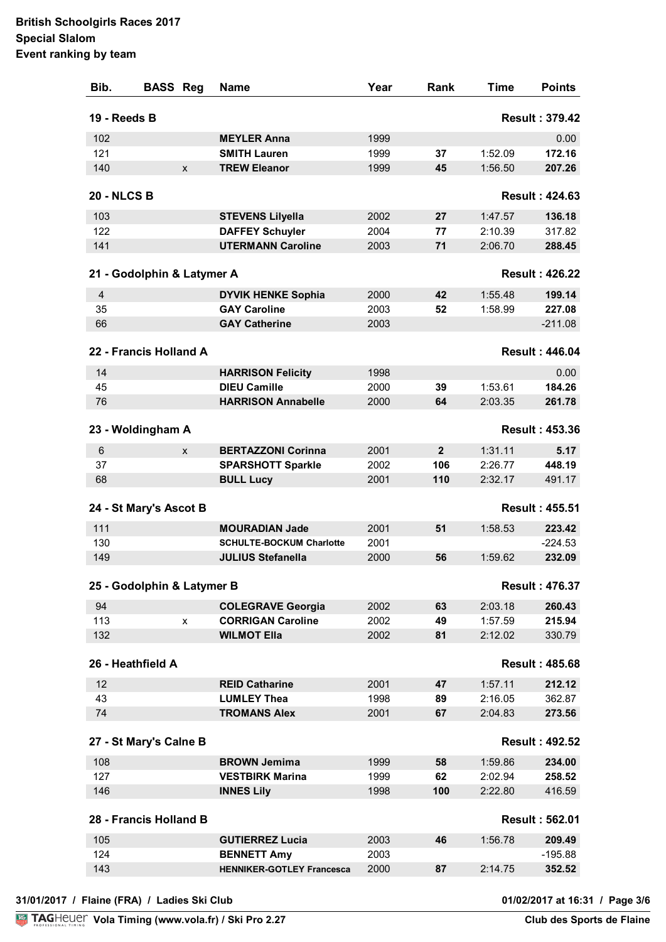| Bib.                       | <b>BASS Reg</b> |   | <b>Name</b>                      | Year | Rank           | Time    | <b>Points</b>         |
|----------------------------|-----------------|---|----------------------------------|------|----------------|---------|-----------------------|
| 19 - Reeds B               |                 |   |                                  |      |                |         | <b>Result: 379.42</b> |
| 102                        |                 |   | <b>MEYLER Anna</b>               | 1999 |                |         | 0.00                  |
| 121                        |                 |   | <b>SMITH Lauren</b>              | 1999 | 37             | 1:52.09 | 172.16                |
| 140                        |                 | X | <b>TREW Eleanor</b>              | 1999 | 45             | 1:56.50 | 207.26                |
| <b>20 - NLCS B</b>         |                 |   |                                  |      |                |         | <b>Result: 424.63</b> |
| 103                        |                 |   | <b>STEVENS Lilyella</b>          | 2002 | 27             | 1:47.57 | 136.18                |
| 122                        |                 |   | <b>DAFFEY Schuyler</b>           | 2004 | 77             | 2:10.39 | 317.82                |
| 141                        |                 |   | <b>UTERMANN Caroline</b>         | 2003 | 71             | 2:06.70 | 288.45                |
| 21 - Godolphin & Latymer A |                 |   |                                  |      |                |         | <b>Result: 426.22</b> |
| $\overline{4}$             |                 |   | <b>DYVIK HENKE Sophia</b>        | 2000 | 42             | 1:55.48 | 199.14                |
| 35                         |                 |   | <b>GAY Caroline</b>              | 2003 | 52             | 1:58.99 | 227.08                |
| 66                         |                 |   | <b>GAY Catherine</b>             | 2003 |                |         | $-211.08$             |
|                            |                 |   |                                  |      |                |         |                       |
| 22 - Francis Holland A     |                 |   |                                  |      |                |         | <b>Result: 446.04</b> |
| 14                         |                 |   | <b>HARRISON Felicity</b>         | 1998 |                |         | 0.00                  |
| 45                         |                 |   | <b>DIEU Camille</b>              | 2000 | 39             | 1:53.61 | 184.26                |
| 76                         |                 |   | <b>HARRISON Annabelle</b>        | 2000 | 64             | 2:03.35 | 261.78                |
| 23 - Woldingham A          |                 |   |                                  |      |                |         | <b>Result: 453.36</b> |
| $6\phantom{1}$             |                 | X | <b>BERTAZZONI Corinna</b>        | 2001 | $\overline{2}$ | 1:31.11 | 5.17                  |
| 37                         |                 |   | <b>SPARSHOTT Sparkle</b>         | 2002 | 106            | 2:26.77 | 448.19                |
| 68                         |                 |   | <b>BULL Lucy</b>                 | 2001 | 110            | 2:32.17 | 491.17                |
| 24 - St Mary's Ascot B     |                 |   |                                  |      |                |         | <b>Result: 455.51</b> |
| 111                        |                 |   | <b>MOURADIAN Jade</b>            | 2001 | 51             | 1:58.53 | 223.42                |
| 130                        |                 |   | <b>SCHULTE-BOCKUM Charlotte</b>  | 2001 |                |         | $-224.53$             |
| 149                        |                 |   | <b>JULIUS Stefanella</b>         | 2000 | 56             | 1:59.62 | 232.09                |
| 25 - Godolphin & Latymer B |                 |   |                                  |      |                |         | <b>Result: 476.37</b> |
| 94                         |                 |   | <b>COLEGRAVE Georgia</b>         | 2002 | 63             | 2:03.18 | 260.43                |
| 113                        |                 | X | <b>CORRIGAN Caroline</b>         | 2002 | 49             | 1:57.59 | 215.94                |
| 132                        |                 |   | <b>WILMOT Ella</b>               | 2002 | 81             | 2:12.02 | 330.79                |
|                            |                 |   |                                  |      |                |         |                       |
| 26 - Heathfield A          |                 |   |                                  |      |                |         | <b>Result: 485.68</b> |
| 12                         |                 |   | <b>REID Catharine</b>            | 2001 | 47             | 1:57.11 | 212.12                |
| 43                         |                 |   | <b>LUMLEY Thea</b>               | 1998 | 89             | 2:16.05 | 362.87                |
| 74                         |                 |   | <b>TROMANS Alex</b>              | 2001 | 67             | 2:04.83 | 273.56                |
| 27 - St Mary's Calne B     |                 |   |                                  |      |                |         | <b>Result: 492.52</b> |
| 108                        |                 |   | <b>BROWN Jemima</b>              | 1999 | 58             | 1:59.86 | 234.00                |
| 127                        |                 |   | <b>VESTBIRK Marina</b>           | 1999 | 62             | 2:02.94 | 258.52                |
| 146                        |                 |   | <b>INNES Lily</b>                | 1998 | 100            | 2:22.80 | 416.59                |
| 28 - Francis Holland B     |                 |   |                                  |      |                |         | <b>Result: 562.01</b> |
| 105                        |                 |   | <b>GUTIERREZ Lucia</b>           | 2003 | 46             | 1:56.78 | 209.49                |
| 124                        |                 |   | <b>BENNETT Amy</b>               | 2003 |                |         | $-195.88$             |
| 143                        |                 |   | <b>HENNIKER-GOTLEY Francesca</b> | 2000 | 87             | 2:14.75 | 352.52                |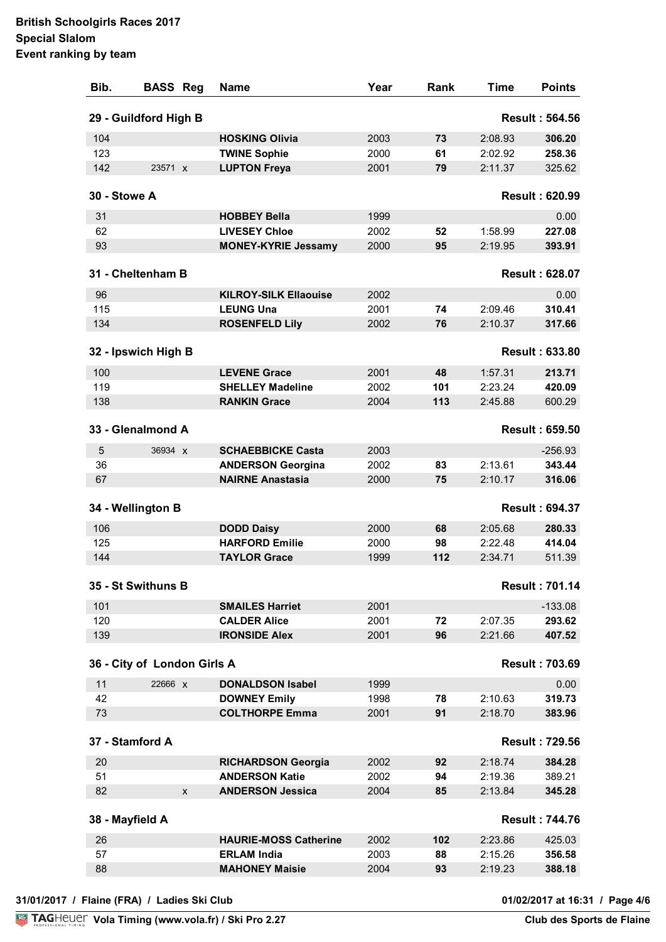| Bib.            | <b>BASS Reg</b>             |   | <b>Name</b>                  | Year | Rank | Time    | <b>Points</b>         |
|-----------------|-----------------------------|---|------------------------------|------|------|---------|-----------------------|
|                 | 29 - Guildford High B       |   |                              |      |      |         | <b>Result: 564.56</b> |
| 104             |                             |   | <b>HOSKING Olivia</b>        | 2003 | 73   | 2:08.93 | 306.20                |
| 123             |                             |   | <b>TWINE Sophie</b>          | 2000 | 61   | 2:02.92 | 258.36                |
| 142             | 23571 X                     |   | <b>LUPTON Freya</b>          | 2001 | 79   | 2:11.37 | 325.62                |
| 30 - Stowe A    |                             |   |                              |      |      |         | <b>Result: 620.99</b> |
| 31              |                             |   | <b>HOBBEY Bella</b>          | 1999 |      |         | 0.00                  |
| 62              |                             |   | <b>LIVESEY Chloe</b>         | 2002 | 52   | 1:58.99 | 227.08                |
| 93              |                             |   | <b>MONEY-KYRIE Jessamy</b>   | 2000 | 95   | 2:19.95 | 393.91                |
|                 | 31 - Cheltenham B           |   |                              |      |      |         | <b>Result: 628.07</b> |
| 96              |                             |   | <b>KILROY-SILK Ellaouise</b> | 2002 |      |         | 0.00                  |
| 115             |                             |   | <b>LEUNG Una</b>             | 2001 | 74   | 2:09.46 | 310.41                |
| 134             |                             |   | <b>ROSENFELD Lily</b>        | 2002 | 76   | 2:10.37 | 317.66                |
|                 | 32 - Ipswich High B         |   |                              |      |      |         | <b>Result: 633.80</b> |
| 100             |                             |   | <b>LEVENE Grace</b>          | 2001 | 48   | 1:57.31 | 213.71                |
| 119             |                             |   | <b>SHELLEY Madeline</b>      | 2002 | 101  | 2:23.24 | 420.09                |
| 138             |                             |   | <b>RANKIN Grace</b>          | 2004 | 113  | 2:45.88 | 600.29                |
|                 | 33 - Glenalmond A           |   |                              |      |      |         | <b>Result: 659.50</b> |
| 5               | 36934 X                     |   | <b>SCHAEBBICKE Casta</b>     | 2003 |      |         | $-256.93$             |
| 36              |                             |   | <b>ANDERSON Georgina</b>     | 2002 | 83   | 2:13.61 | 343.44                |
| 67              |                             |   | <b>NAIRNE Anastasia</b>      | 2000 | 75   | 2:10.17 | 316.06                |
|                 | 34 - Wellington B           |   |                              |      |      |         | <b>Result: 694.37</b> |
| 106             |                             |   | <b>DODD Daisy</b>            | 2000 | 68   | 2:05.68 | 280.33                |
| 125             |                             |   | <b>HARFORD Emilie</b>        | 2000 | 98   | 2:22.48 | 414.04                |
| 144             |                             |   | <b>TAYLOR Grace</b>          | 1999 | 112  | 2:34.71 | 511.39                |
|                 | 35 - St Swithuns B          |   |                              |      |      |         | <b>Result: 701.14</b> |
| 101             |                             |   | <b>SMAILES Harriet</b>       | 2001 |      |         | $-133.08$             |
| 120             |                             |   | <b>CALDER Alice</b>          | 2001 | 72   | 2:07.35 | 293.62                |
| 139             |                             |   | <b>IRONSIDE Alex</b>         | 2001 | 96   | 2:21.66 | 407.52                |
|                 | 36 - City of London Girls A |   |                              |      |      |         | <b>Result: 703.69</b> |
| 11              | 22666 X                     |   | <b>DONALDSON Isabel</b>      | 1999 |      |         | 0.00                  |
| 42              |                             |   | <b>DOWNEY Emily</b>          | 1998 | 78   | 2:10.63 | 319.73                |
| 73              |                             |   | <b>COLTHORPE Emma</b>        | 2001 | 91   | 2:18.70 | 383.96                |
|                 | 37 - Stamford A             |   |                              |      |      |         | <b>Result: 729.56</b> |
| 20              |                             |   | <b>RICHARDSON Georgia</b>    | 2002 | 92   | 2:18.74 | 384.28                |
| 51              |                             |   | <b>ANDERSON Katie</b>        | 2002 | 94   | 2:19.36 | 389.21                |
| 82              |                             | X | <b>ANDERSON Jessica</b>      | 2004 | 85   | 2:13.84 | 345.28                |
| 38 - Mayfield A |                             |   |                              |      |      |         | <b>Result: 744.76</b> |
| 26              |                             |   | <b>HAURIE-MOSS Catherine</b> | 2002 | 102  | 2:23.86 | 425.03                |
| 57              |                             |   | <b>ERLAM India</b>           | 2003 | 88   | 2:15.26 | 356.58                |
| 88              |                             |   | <b>MAHONEY Maisie</b>        | 2004 | 93   | 2:19.23 | 388.18                |

01/02/2017 at 16:31 / Page 4/6<br>Club des Sports de Flaine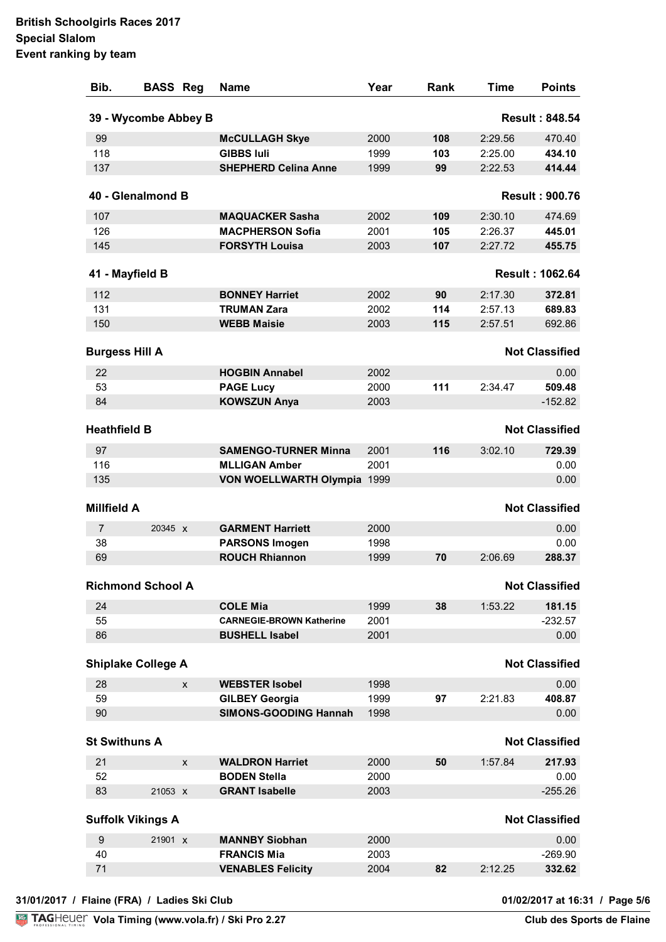| Bib.                  | <b>BASS Reg</b>           |   | <b>Name</b>                     | Year | Rank | <b>Time</b> | <b>Points</b>          |
|-----------------------|---------------------------|---|---------------------------------|------|------|-------------|------------------------|
|                       | 39 - Wycombe Abbey B      |   |                                 |      |      |             | <b>Result: 848.54</b>  |
| 99                    |                           |   | <b>McCULLAGH Skye</b>           | 2000 | 108  | 2:29.56     | 470.40                 |
| 118                   |                           |   | <b>GIBBS Iuli</b>               | 1999 | 103  | 2:25.00     | 434.10                 |
| 137                   |                           |   | <b>SHEPHERD Celina Anne</b>     | 1999 | 99   | 2:22.53     | 414.44                 |
|                       | 40 - Glenalmond B         |   |                                 |      |      |             | <b>Result: 900.76</b>  |
| 107                   |                           |   | <b>MAQUACKER Sasha</b>          | 2002 | 109  | 2:30.10     | 474.69                 |
| 126                   |                           |   | <b>MACPHERSON Sofia</b>         | 2001 | 105  | 2:26.37     | 445.01                 |
| 145                   |                           |   | <b>FORSYTH Louisa</b>           | 2003 | 107  | 2:27.72     | 455.75                 |
| 41 - Mayfield B       |                           |   |                                 |      |      |             | <b>Result: 1062.64</b> |
| 112                   |                           |   | <b>BONNEY Harriet</b>           | 2002 | 90   | 2:17.30     | 372.81                 |
| 131                   |                           |   | <b>TRUMAN Zara</b>              | 2002 | 114  | 2:57.13     | 689.83                 |
| 150                   |                           |   | <b>WEBB Maisie</b>              | 2003 | 115  | 2:57.51     | 692.86                 |
| <b>Burgess Hill A</b> |                           |   |                                 |      |      |             | <b>Not Classified</b>  |
| 22                    |                           |   | <b>HOGBIN Annabel</b>           | 2002 |      |             | 0.00                   |
| 53                    |                           |   | <b>PAGE Lucy</b>                | 2000 | 111  | 2:34.47     | 509.48                 |
| 84                    |                           |   | <b>KOWSZUN Anya</b>             | 2003 |      |             | $-152.82$              |
| <b>Heathfield B</b>   |                           |   |                                 |      |      |             | <b>Not Classified</b>  |
| 97                    |                           |   | <b>SAMENGO-TURNER Minna</b>     | 2001 | 116  | 3:02.10     | 729.39                 |
| 116                   |                           |   | <b>MLLIGAN Amber</b>            | 2001 |      |             | 0.00                   |
| 135                   |                           |   | VON WOELLWARTH Olympia 1999     |      |      |             | 0.00                   |
| <b>Millfield A</b>    |                           |   |                                 |      |      |             | <b>Not Classified</b>  |
| $\overline{7}$        | 20345 X                   |   | <b>GARMENT Harriett</b>         | 2000 |      |             | 0.00                   |
| 38                    |                           |   | <b>PARSONS Imogen</b>           | 1998 |      |             | 0.00                   |
| 69                    |                           |   | <b>ROUCH Rhiannon</b>           | 1999 | 70   | 2:06.69     | 288.37                 |
|                       |                           |   |                                 |      |      |             |                        |
|                       | <b>Richmond School A</b>  |   |                                 |      |      |             | <b>Not Classified</b>  |
| 24                    |                           |   | <b>COLE Mia</b>                 | 1999 | 38   | 1:53.22     | 181.15                 |
| 55                    |                           |   | <b>CARNEGIE-BROWN Katherine</b> | 2001 |      |             | $-232.57$              |
| 86                    |                           |   | <b>BUSHELL Isabel</b>           | 2001 |      |             | 0.00                   |
|                       | <b>Shiplake College A</b> |   |                                 |      |      |             | <b>Not Classified</b>  |
| 28                    |                           | X | <b>WEBSTER Isobel</b>           | 1998 |      |             | 0.00                   |
| 59                    |                           |   | <b>GILBEY Georgia</b>           | 1999 | 97   | 2:21.83     | 408.87                 |
| 90                    |                           |   | <b>SIMONS-GOODING Hannah</b>    | 1998 |      |             | 0.00                   |
| <b>St Swithuns A</b>  |                           |   |                                 |      |      |             | <b>Not Classified</b>  |
| 21                    |                           | X | <b>WALDRON Harriet</b>          | 2000 | 50   | 1:57.84     | 217.93                 |
| 52                    |                           |   | <b>BODEN Stella</b>             | 2000 |      |             | 0.00                   |
| 83                    | 21053 X                   |   | <b>GRANT Isabelle</b>           | 2003 |      |             | $-255.26$              |
|                       | <b>Suffolk Vikings A</b>  |   |                                 |      |      |             | <b>Not Classified</b>  |
| $\boldsymbol{9}$      | 21901 X                   |   | <b>MANNBY Siobhan</b>           | 2000 |      |             | 0.00                   |
| 40                    |                           |   | <b>FRANCIS Mia</b>              | 2003 |      |             | $-269.90$              |
| 71                    |                           |   | <b>VENABLES Felicity</b>        | 2004 | 82   | 2:12.25     | 332.62                 |